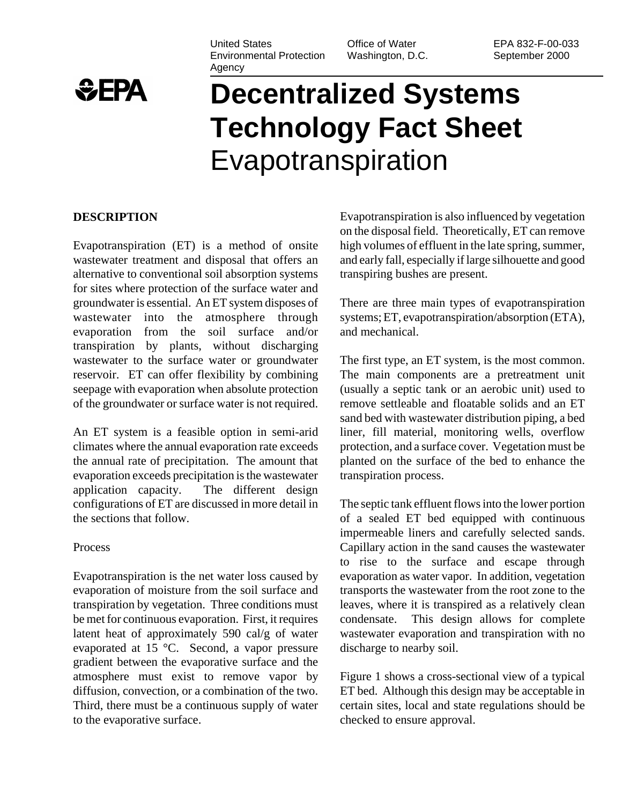

#### United States Environmental Protection Agency

Office of Water Washington, D.C. EPA 832-F-00-033 September 2000

# **Decentralized Systems Technology Fact Sheet** Evapotranspiration

#### **DESCRIPTION**

Evapotranspiration (ET) is a method of onsite wastewater treatment and disposal that offers an alternative to conventional soil absorption systems for sites where protection of the surface water and groundwater is essential. An ET system disposes of wastewater into the atmosphere through evaporation from the soil surface and/or transpiration by plants, without discharging wastewater to the surface water or groundwater reservoir. ET can offer flexibility by combining seepage with evaporation when absolute protection of the groundwater or surface water is not required.

An ET system is a feasible option in semi-arid climates where the annual evaporation rate exceeds the annual rate of precipitation. The amount that evaporation exceeds precipitation is the wastewater application capacity. The different design configurations of ET are discussed in more detail in the sections that follow.

#### Process

Evapotranspiration is the net water loss caused by evaporation of moisture from the soil surface and transpiration by vegetation. Three conditions must be met for continuous evaporation. First, it requires latent heat of approximately 590 cal/g of water evaporated at 15 °C. Second, a vapor pressure gradient between the evaporative surface and the atmosphere must exist to remove vapor by diffusion, convection, or a combination of the two. Third, there must be a continuous supply of water to the evaporative surface.

Evapotranspiration is also influenced by vegetation on the disposal field. Theoretically, ET can remove high volumes of effluent in the late spring, summer, and early fall, especially if large silhouette and good transpiring bushes are present.

There are three main types of evapotranspiration systems; ET, evapotranspiration/absorption (ETA), and mechanical.

The first type, an ET system, is the most common. The main components are a pretreatment unit (usually a septic tank or an aerobic unit) used to remove settleable and floatable solids and an ET sand bed with wastewater distribution piping, a bed liner, fill material, monitoring wells, overflow protection, and a surface cover. Vegetation must be planted on the surface of the bed to enhance the transpiration process.

The septic tank effluent flows into the lower portion of a sealed ET bed equipped with continuous impermeable liners and carefully selected sands. Capillary action in the sand causes the wastewater to rise to the surface and escape through evaporation as water vapor. In addition, vegetation transports the wastewater from the root zone to the leaves, where it is transpired as a relatively clean condensate. This design allows for complete wastewater evaporation and transpiration with no discharge to nearby soil.

Figure 1 shows a cross-sectional view of a typical ET bed. Although this design may be acceptable in certain sites, local and state regulations should be checked to ensure approval.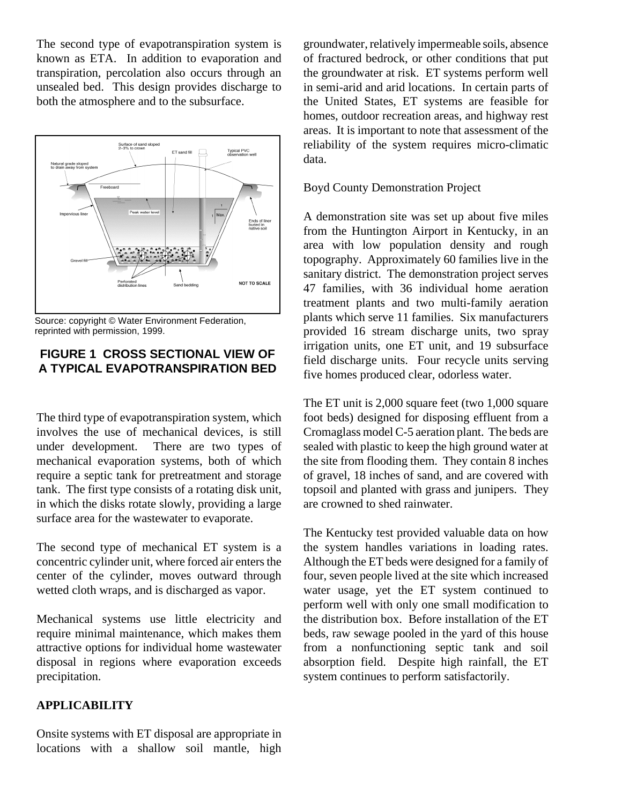The second type of evapotranspiration system is known as ETA. In addition to evaporation and transpiration, percolation also occurs through an unsealed bed. This design provides discharge to both the atmosphere and to the subsurface.



Source: copyright © Water Environment Federation, reprinted with permission, 1999.

# **FIGURE 1 CROSS SECTIONAL VIEW OF A TYPICAL EVAPOTRANSPIRATION BED**

The third type of evapotranspiration system, which involves the use of mechanical devices, is still under development. There are two types of mechanical evaporation systems, both of which require a septic tank for pretreatment and storage tank. The first type consists of a rotating disk unit, in which the disks rotate slowly, providing a large surface area for the wastewater to evaporate.

The second type of mechanical ET system is a concentric cylinder unit, where forced air enters the center of the cylinder, moves outward through wetted cloth wraps, and is discharged as vapor.

Mechanical systems use little electricity and require minimal maintenance, which makes them attractive options for individual home wastewater disposal in regions where evaporation exceeds precipitation.

## **APPLICABILITY**

Onsite systems with ET disposal are appropriate in locations with a shallow soil mantle, high

groundwater, relatively impermeable soils, absence of fractured bedrock, or other conditions that put the groundwater at risk. ET systems perform well in semi-arid and arid locations. In certain parts of the United States, ET systems are feasible for homes, outdoor recreation areas, and highway rest areas. It is important to note that assessment of the reliability of the system requires micro-climatic data.

#### Boyd County Demonstration Project

A demonstration site was set up about five miles from the Huntington Airport in Kentucky, in an area with low population density and rough topography. Approximately 60 families live in the sanitary district. The demonstration project serves 47 families, with 36 individual home aeration treatment plants and two multi-family aeration plants which serve 11 families. Six manufacturers provided 16 stream discharge units, two spray irrigation units, one ET unit, and 19 subsurface field discharge units. Four recycle units serving five homes produced clear, odorless water.

The ET unit is 2,000 square feet (two 1,000 square foot beds) designed for disposing effluent from a Cromaglass model C-5 aeration plant. The beds are sealed with plastic to keep the high ground water at the site from flooding them. They contain 8 inches of gravel, 18 inches of sand, and are covered with topsoil and planted with grass and junipers. They are crowned to shed rainwater.

The Kentucky test provided valuable data on how the system handles variations in loading rates. Although the ET beds were designed for a family of four, seven people lived at the site which increased water usage, yet the ET system continued to perform well with only one small modification to the distribution box. Before installation of the ET beds, raw sewage pooled in the yard of this house from a nonfunctioning septic tank and soil absorption field. Despite high rainfall, the ET system continues to perform satisfactorily.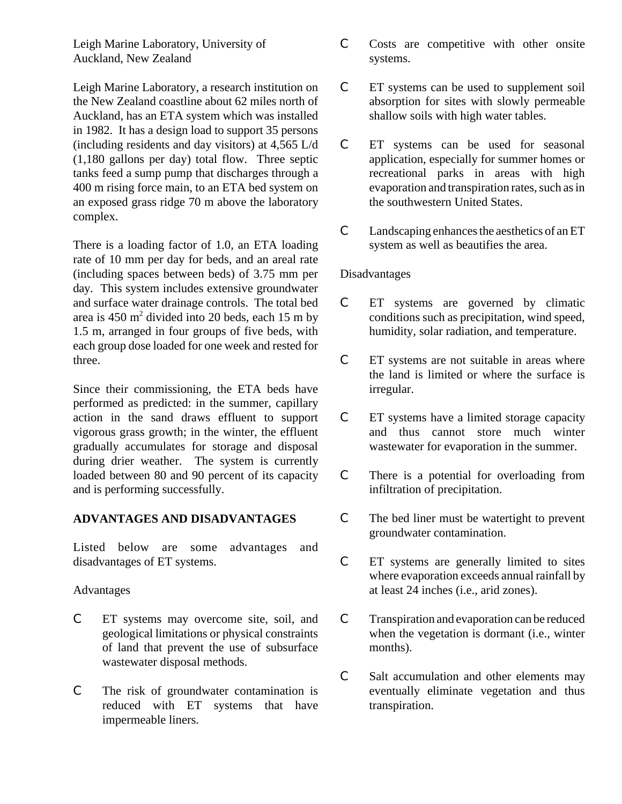Leigh Marine Laboratory, University of Auckland, New Zealand

Leigh Marine Laboratory, a research institution on the New Zealand coastline about 62 miles north of Auckland, has an ETA system which was installed in 1982. It has a design load to support 35 persons (including residents and day visitors) at 4,565 L/d (1,180 gallons per day) total flow. Three septic tanks feed a sump pump that discharges through a 400 m rising force main, to an ETA bed system on an exposed grass ridge 70 m above the laboratory complex.

There is a loading factor of 1.0, an ETA loading rate of 10 mm per day for beds, and an areal rate (including spaces between beds) of 3.75 mm per day. This system includes extensive groundwater and surface water drainage controls. The total bed area is  $450 \text{ m}^2$  divided into 20 beds, each 15 m by 1.5 m, arranged in four groups of five beds, with each group dose loaded for one week and rested for three.

Since their commissioning, the ETA beds have performed as predicted: in the summer, capillary action in the sand draws effluent to support vigorous grass growth; in the winter, the effluent gradually accumulates for storage and disposal during drier weather. The system is currently loaded between 80 and 90 percent of its capacity and is performing successfully.

## **ADVANTAGES AND DISADVANTAGES**

Listed below are some advantages and disadvantages of ET systems.

Advantages

- C ET systems may overcome site, soil, and geological limitations or physical constraints of land that prevent the use of subsurface wastewater disposal methods.
- C The risk of groundwater contamination is reduced with ET systems that have impermeable liners.
- C Costs are competitive with other onsite systems.
- C ET systems can be used to supplement soil absorption for sites with slowly permeable shallow soils with high water tables.
- C ET systems can be used for seasonal application, especially for summer homes or recreational parks in areas with high evaporation and transpiration rates, such as in the southwestern United States.
- C Landscaping enhances the aesthetics of an ET system as well as beautifies the area.

## Disadvantages

- C ET systems are governed by climatic conditions such as precipitation, wind speed, humidity, solar radiation, and temperature.
- C ET systems are not suitable in areas where the land is limited or where the surface is irregular.
- C ET systems have a limited storage capacity and thus cannot store much winter wastewater for evaporation in the summer.
- C There is a potential for overloading from infiltration of precipitation.
- C The bed liner must be watertight to prevent groundwater contamination.
- C ET systems are generally limited to sites where evaporation exceeds annual rainfall by at least 24 inches (i.e., arid zones).
- C Transpiration and evaporation can be reduced when the vegetation is dormant (i.e., winter months).
- C Salt accumulation and other elements may eventually eliminate vegetation and thus transpiration.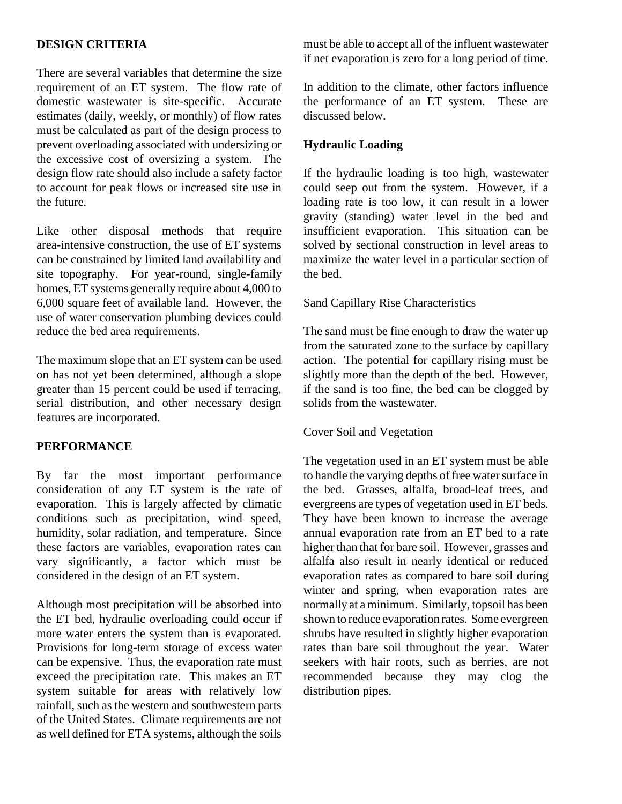# **DESIGN CRITERIA**

There are several variables that determine the size requirement of an ET system. The flow rate of domestic wastewater is site-specific. Accurate estimates (daily, weekly, or monthly) of flow rates must be calculated as part of the design process to prevent overloading associated with undersizing or the excessive cost of oversizing a system. The design flow rate should also include a safety factor to account for peak flows or increased site use in the future.

Like other disposal methods that require area-intensive construction, the use of ET systems can be constrained by limited land availability and site topography. For year-round, single-family homes, ET systems generally require about 4,000 to 6,000 square feet of available land. However, the use of water conservation plumbing devices could reduce the bed area requirements.

The maximum slope that an ET system can be used on has not yet been determined, although a slope greater than 15 percent could be used if terracing, serial distribution, and other necessary design features are incorporated.

# **PERFORMANCE**

By far the most important performance consideration of any ET system is the rate of evaporation. This is largely affected by climatic conditions such as precipitation, wind speed, humidity, solar radiation, and temperature. Since these factors are variables, evaporation rates can vary significantly, a factor which must be considered in the design of an ET system.

Although most precipitation will be absorbed into the ET bed, hydraulic overloading could occur if more water enters the system than is evaporated. Provisions for long-term storage of excess water can be expensive. Thus, the evaporation rate must exceed the precipitation rate. This makes an ET system suitable for areas with relatively low rainfall, such as the western and southwestern parts of the United States. Climate requirements are not as well defined for ETA systems, although the soils

must be able to accept all of the influent wastewater if net evaporation is zero for a long period of time.

In addition to the climate, other factors influence the performance of an ET system. These are discussed below.

## **Hydraulic Loading**

If the hydraulic loading is too high, wastewater could seep out from the system. However, if a loading rate is too low, it can result in a lower gravity (standing) water level in the bed and insufficient evaporation. This situation can be solved by sectional construction in level areas to maximize the water level in a particular section of the bed.

## Sand Capillary Rise Characteristics

The sand must be fine enough to draw the water up from the saturated zone to the surface by capillary action. The potential for capillary rising must be slightly more than the depth of the bed. However, if the sand is too fine, the bed can be clogged by solids from the wastewater.

## Cover Soil and Vegetation

The vegetation used in an ET system must be able to handle the varying depths of free water surface in the bed. Grasses, alfalfa, broad-leaf trees, and evergreens are types of vegetation used in ET beds. They have been known to increase the average annual evaporation rate from an ET bed to a rate higher than that for bare soil. However, grasses and alfalfa also result in nearly identical or reduced evaporation rates as compared to bare soil during winter and spring, when evaporation rates are normally at a minimum. Similarly, topsoil has been shown to reduce evaporation rates. Some evergreen shrubs have resulted in slightly higher evaporation rates than bare soil throughout the year. Water seekers with hair roots, such as berries, are not recommended because they may clog the distribution pipes.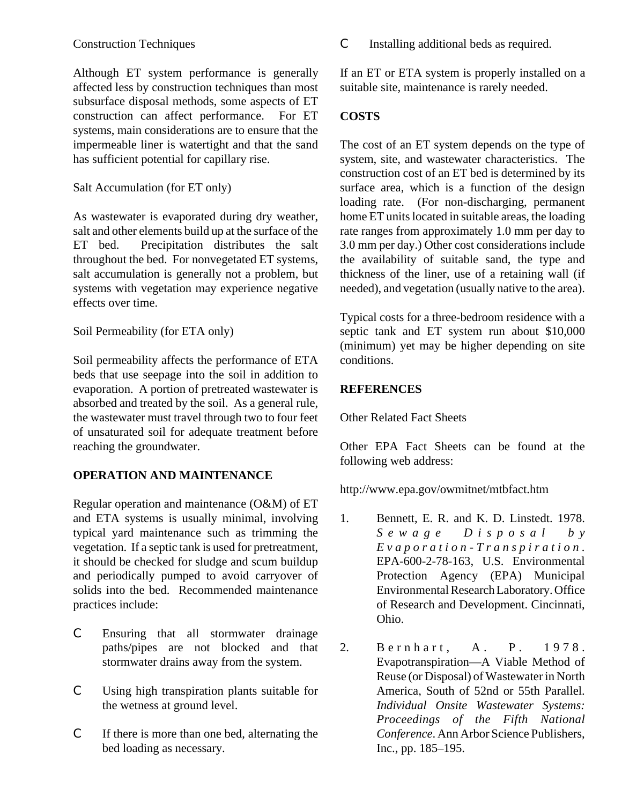Although ET system performance is generally affected less by construction techniques than most subsurface disposal methods, some aspects of ET construction can affect performance. For ET systems, main considerations are to ensure that the impermeable liner is watertight and that the sand has sufficient potential for capillary rise.

# Salt Accumulation (for ET only)

As wastewater is evaporated during dry weather, salt and other elements build up at the surface of the ET bed. Precipitation distributes the salt throughout the bed. For nonvegetated ET systems, salt accumulation is generally not a problem, but systems with vegetation may experience negative effects over time.

Soil Permeability (for ETA only)

Soil permeability affects the performance of ETA beds that use seepage into the soil in addition to evaporation. A portion of pretreated wastewater is absorbed and treated by the soil. As a general rule, the wastewater must travel through two to four feet of unsaturated soil for adequate treatment before reaching the groundwater.

# **OPERATION AND MAINTENANCE**

Regular operation and maintenance (O&M) of ET and ETA systems is usually minimal, involving typical yard maintenance such as trimming the vegetation. If a septic tank is used for pretreatment, it should be checked for sludge and scum buildup and periodically pumped to avoid carryover of solids into the bed. Recommended maintenance practices include:

- C Ensuring that all stormwater drainage paths/pipes are not blocked and that stormwater drains away from the system.
- C Using high transpiration plants suitable for the wetness at ground level.
- C If there is more than one bed, alternating the bed loading as necessary.

C Installing additional beds as required.

If an ET or ETA system is properly installed on a suitable site, maintenance is rarely needed.

# **COSTS**

The cost of an ET system depends on the type of system, site, and wastewater characteristics. The construction cost of an ET bed is determined by its surface area, which is a function of the design loading rate. (For non-discharging, permanent home ET units located in suitable areas, the loading rate ranges from approximately 1.0 mm per day to 3.0 mm per day.) Other cost considerations include the availability of suitable sand, the type and thickness of the liner, use of a retaining wall (if needed), and vegetation (usually native to the area).

Typical costs for a three-bedroom residence with a septic tank and ET system run about \$10,000 (minimum) yet may be higher depending on site conditions.

# **REFERENCES**

Other Related Fact Sheets

Other EPA Fact Sheets can be found at the following web address:

http://www.epa.gov/owmitnet/mtbfact.htm

- 1. Bennett, E. R. and K. D. Linstedt. 1978. *Sewage Disposal by Evaporation-Transpiration.* EPA-600-2-78-163, U.S. Environmental Protection Agency (EPA) Municipal Environmental Research Laboratory. Office of Research and Development. Cincinnati, Ohio.
- 2. Bernhart, A. P. 1978. Evapotranspiration—A Viable Method of Reuse (or Disposal) of Wastewater in North America, South of 52nd or 55th Parallel. *Individual Onsite Wastewater Systems: Proceedings of the Fifth National Conference*. Ann Arbor Science Publishers, Inc., pp. 185–195.